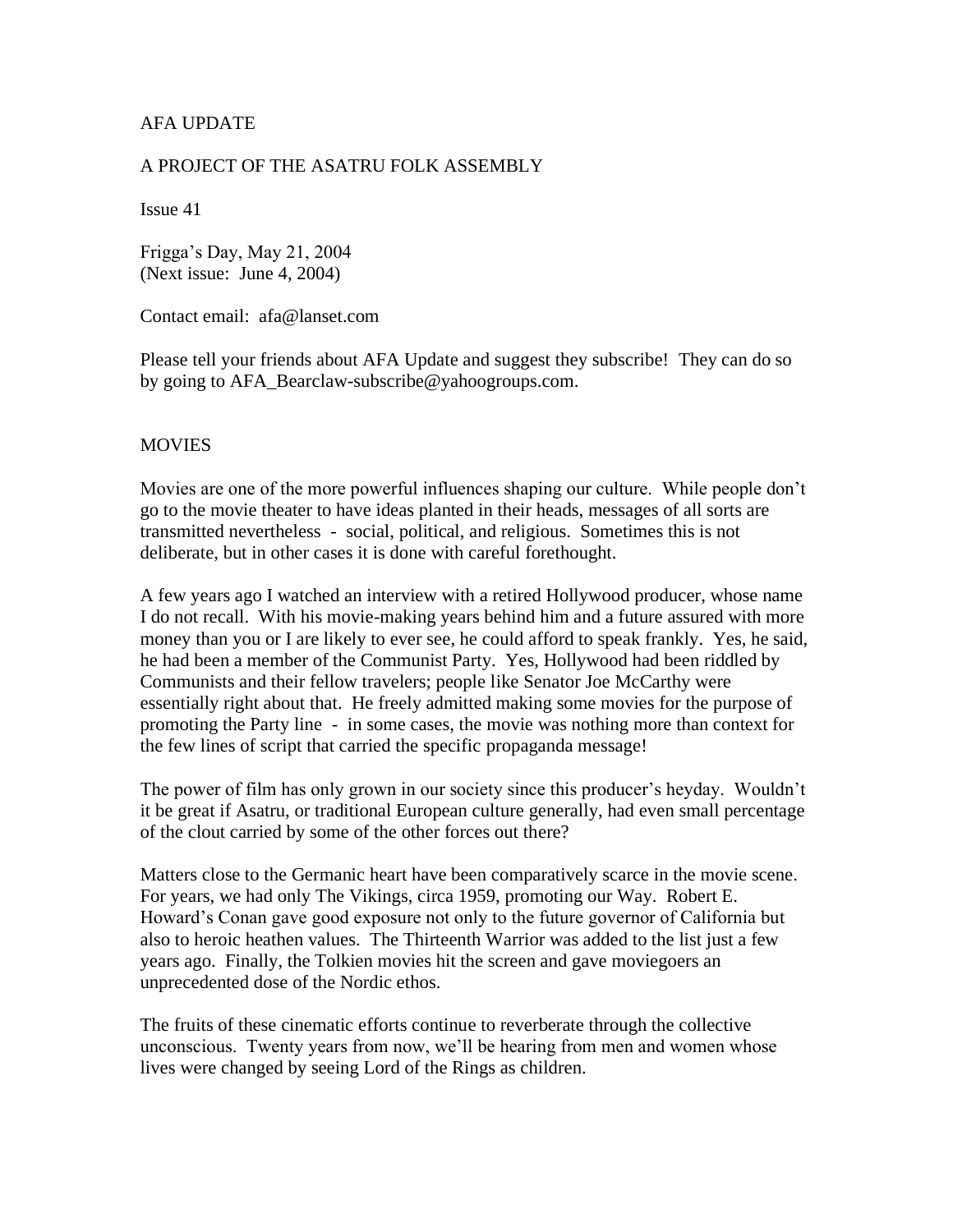## AFA UPDATE

#### A PROJECT OF THE ASATRU FOLK ASSEMBLY

Issue 41

Frigga's Day, May 21, 2004 (Next issue: June 4, 2004)

Contact email: afa@lanset.com

Please tell your friends about AFA Update and suggest they subscribe! They can do so by going to AFA\_Bearclaw-subscribe@yahoogroups.com.

#### MOVIES

Movies are one of the more powerful influences shaping our culture. While people don't go to the movie theater to have ideas planted in their heads, messages of all sorts are transmitted nevertheless - social, political, and religious. Sometimes this is not deliberate, but in other cases it is done with careful forethought.

A few years ago I watched an interview with a retired Hollywood producer, whose name I do not recall. With his movie-making years behind him and a future assured with more money than you or I are likely to ever see, he could afford to speak frankly. Yes, he said, he had been a member of the Communist Party. Yes, Hollywood had been riddled by Communists and their fellow travelers; people like Senator Joe McCarthy were essentially right about that. He freely admitted making some movies for the purpose of promoting the Party line - in some cases, the movie was nothing more than context for the few lines of script that carried the specific propaganda message!

The power of film has only grown in our society since this producer's heyday. Wouldn't it be great if Asatru, or traditional European culture generally, had even small percentage of the clout carried by some of the other forces out there?

Matters close to the Germanic heart have been comparatively scarce in the movie scene. For years, we had only The Vikings, circa 1959, promoting our Way. Robert E. Howard's Conan gave good exposure not only to the future governor of California but also to heroic heathen values. The Thirteenth Warrior was added to the list just a few years ago. Finally, the Tolkien movies hit the screen and gave moviegoers an unprecedented dose of the Nordic ethos.

The fruits of these cinematic efforts continue to reverberate through the collective unconscious. Twenty years from now, we'll be hearing from men and women whose lives were changed by seeing Lord of the Rings as children.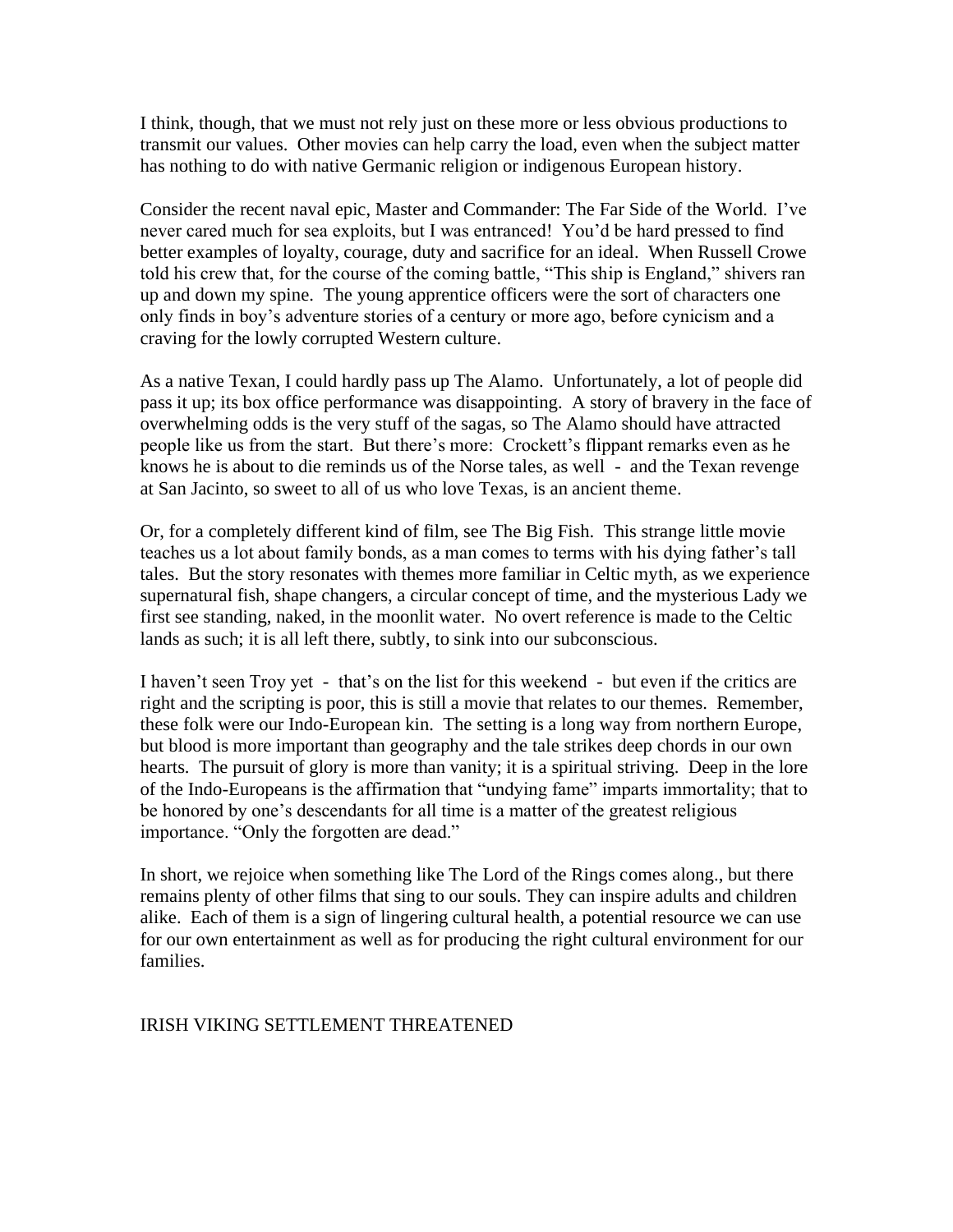I think, though, that we must not rely just on these more or less obvious productions to transmit our values. Other movies can help carry the load, even when the subject matter has nothing to do with native Germanic religion or indigenous European history.

Consider the recent naval epic, Master and Commander: The Far Side of the World. I've never cared much for sea exploits, but I was entranced! You'd be hard pressed to find better examples of loyalty, courage, duty and sacrifice for an ideal. When Russell Crowe told his crew that, for the course of the coming battle, "This ship is England," shivers ran up and down my spine. The young apprentice officers were the sort of characters one only finds in boy's adventure stories of a century or more ago, before cynicism and a craving for the lowly corrupted Western culture.

As a native Texan, I could hardly pass up The Alamo. Unfortunately, a lot of people did pass it up; its box office performance was disappointing. A story of bravery in the face of overwhelming odds is the very stuff of the sagas, so The Alamo should have attracted people like us from the start. But there's more: Crockett's flippant remarks even as he knows he is about to die reminds us of the Norse tales, as well - and the Texan revenge at San Jacinto, so sweet to all of us who love Texas, is an ancient theme.

Or, for a completely different kind of film, see The Big Fish. This strange little movie teaches us a lot about family bonds, as a man comes to terms with his dying father's tall tales. But the story resonates with themes more familiar in Celtic myth, as we experience supernatural fish, shape changers, a circular concept of time, and the mysterious Lady we first see standing, naked, in the moonlit water. No overt reference is made to the Celtic lands as such; it is all left there, subtly, to sink into our subconscious.

I haven't seen Troy yet - that's on the list for this weekend - but even if the critics are right and the scripting is poor, this is still a movie that relates to our themes. Remember, these folk were our Indo-European kin. The setting is a long way from northern Europe, but blood is more important than geography and the tale strikes deep chords in our own hearts. The pursuit of glory is more than vanity; it is a spiritual striving. Deep in the lore of the Indo-Europeans is the affirmation that "undying fame" imparts immortality; that to be honored by one's descendants for all time is a matter of the greatest religious importance. "Only the forgotten are dead."

In short, we rejoice when something like The Lord of the Rings comes along., but there remains plenty of other films that sing to our souls. They can inspire adults and children alike. Each of them is a sign of lingering cultural health, a potential resource we can use for our own entertainment as well as for producing the right cultural environment for our families.

### IRISH VIKING SETTLEMENT THREATENED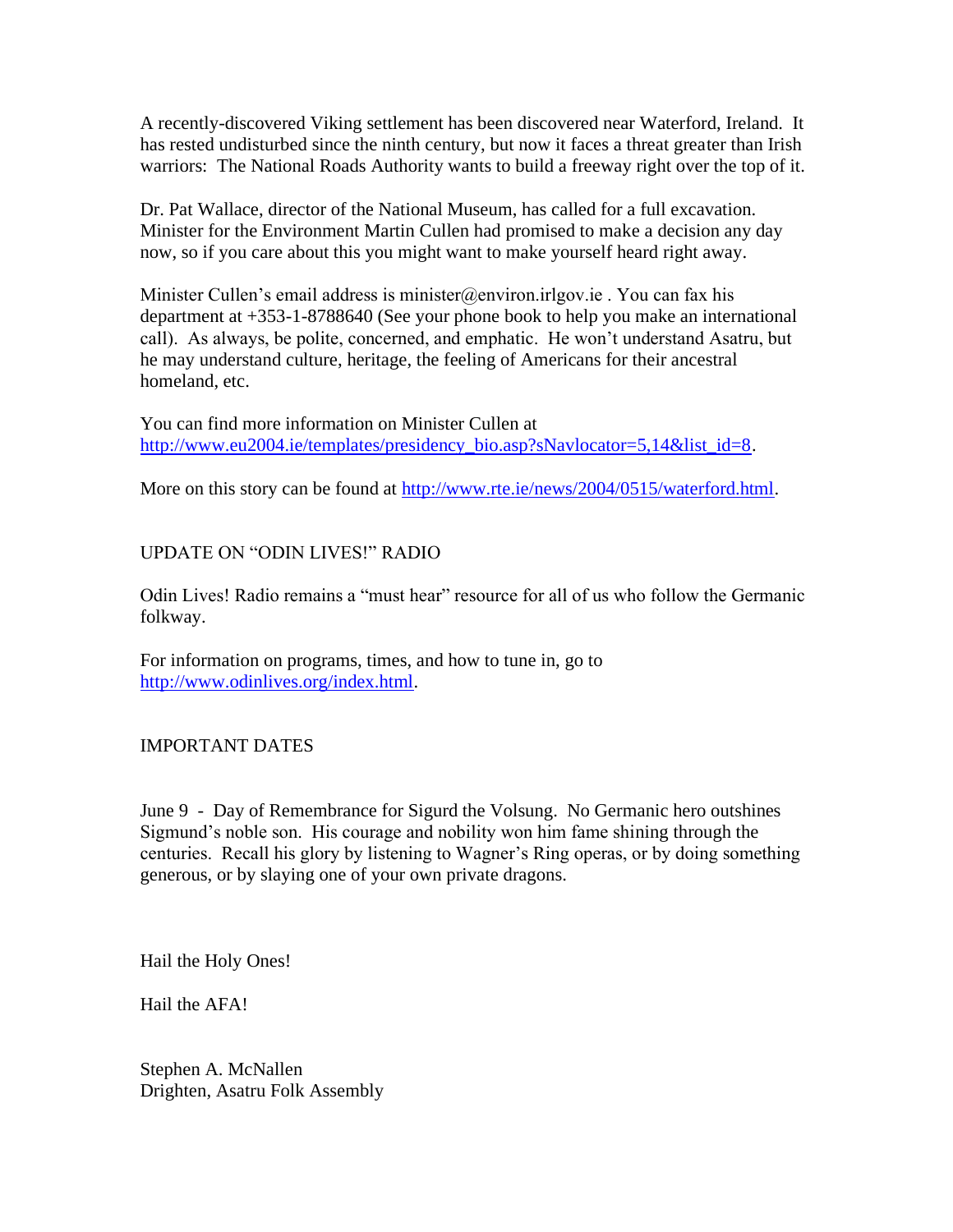A recently-discovered Viking settlement has been discovered near Waterford, Ireland. It has rested undisturbed since the ninth century, but now it faces a threat greater than Irish warriors: The National Roads Authority wants to build a freeway right over the top of it.

Dr. Pat Wallace, director of the National Museum, has called for a full excavation. Minister for the Environment Martin Cullen had promised to make a decision any day now, so if you care about this you might want to make yourself heard right away.

Minister Cullen's email address is minister@environ.irlgov.ie . You can fax his department at +353-1-8788640 (See your phone book to help you make an international call). As always, be polite, concerned, and emphatic. He won't understand Asatru, but he may understand culture, heritage, the feeling of Americans for their ancestral homeland, etc.

You can find more information on Minister Cullen at [http://www.eu2004.ie/templates/presidency\\_bio.asp?sNavlocator=5,14&list\\_id=8.](http://www.eu2004.ie/templates/presidency_bio.asp?sNavlocator=5,14&list_id=8)

More on this story can be found at [http://www.rte.ie/news/2004/0515/waterford.html.](http://www.rte.ie/news/2004/0515/waterford.html)

# UPDATE ON "ODIN LIVES!" RADIO

Odin Lives! Radio remains a "must hear" resource for all of us who follow the Germanic folkway.

For information on programs, times, and how to tune in, go to [http://www.odinlives.org/index.html.](http://www.odinlives.org/index.html)

### IMPORTANT DATES

June 9 - Day of Remembrance for Sigurd the Volsung. No Germanic hero outshines Sigmund's noble son. His courage and nobility won him fame shining through the centuries. Recall his glory by listening to Wagner's Ring operas, or by doing something generous, or by slaying one of your own private dragons.

Hail the Holy Ones!

Hail the AFA!

Stephen A. McNallen Drighten, Asatru Folk Assembly